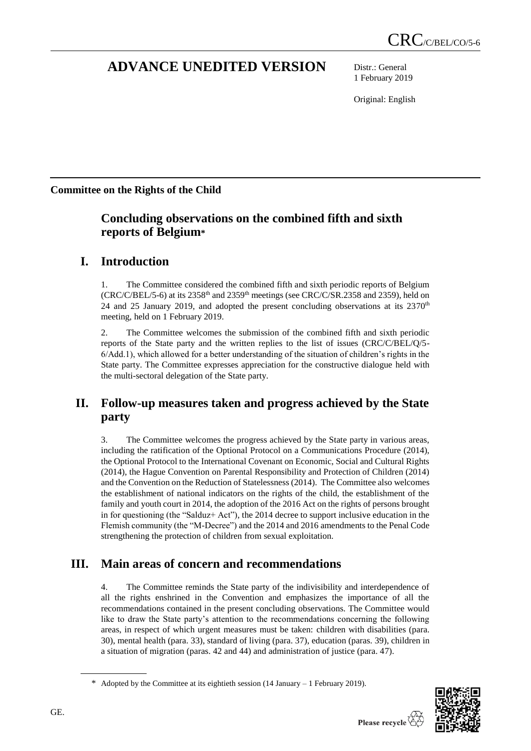# **ADVANCE UNEDITED VERSION** Distr.: General

1 February 2019

Original: English

# **Committee on the Rights of the Child**

# **Concluding observations on the combined fifth and sixth reports of Belgium\***

# **I. Introduction**

1. The Committee considered the combined fifth and sixth periodic reports of Belgium  $(CRC/C/BEL/5-6)$  at its 2358<sup>th</sup> and 2359<sup>th</sup> meetings (see CRC/C/SR.2358 and 2359), held on 24 and 25 January 2019, and adopted the present concluding observations at its 2370<sup>th</sup> meeting, held on 1 February 2019.

2. The Committee welcomes the submission of the combined fifth and sixth periodic reports of the State party and the written replies to the list of issues (CRC/C/BEL/Q/5- 6/Add.1), which allowed for a better understanding of the situation of children's rights in the State party. The Committee expresses appreciation for the constructive dialogue held with the multi-sectoral delegation of the State party.

# **II. Follow-up measures taken and progress achieved by the State party**

3. The Committee welcomes the progress achieved by the State party in various areas, including the ratification of the Optional Protocol on a Communications Procedure (2014), the Optional Protocol to the International Covenant on Economic, Social and Cultural Rights (2014), the Hague Convention on Parental Responsibility and Protection of Children (2014) and the Convention on the Reduction of Statelessness (2014). The Committee also welcomes the establishment of national indicators on the rights of the child, the establishment of the family and youth court in 2014, the adoption of the 2016 Act on the rights of persons brought in for questioning (the "Salduz+ Act"), the 2014 decree to support inclusive education in the Flemish community (the "M-Decree") and the 2014 and 2016 amendments to the Penal Code strengthening the protection of children from sexual exploitation.

# **III. Main areas of concern and recommendations**

4. The Committee reminds the State party of the indivisibility and interdependence of all the rights enshrined in the Convention and emphasizes the importance of all the recommendations contained in the present concluding observations. The Committee would like to draw the State party's attention to the recommendations concerning the following areas, in respect of which urgent measures must be taken: children with disabilities (para. 30), mental health (para. 33), standard of living (para. 37), education (paras. 39), children in a situation of migration (paras. 42 and 44) and administration of justice (para. 47).



<sup>\*</sup> Adopted by the Committee at its eightieth session (14 January – 1 February 2019).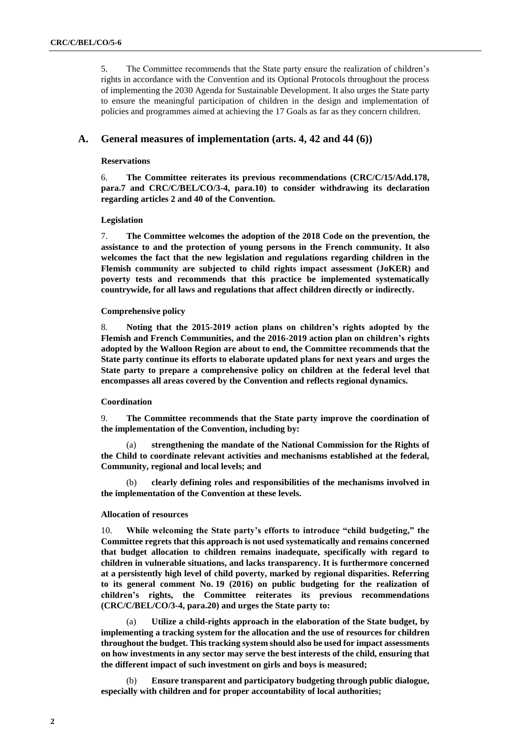5. The Committee recommends that the State party ensure the realization of children's rights in accordance with the Convention and its Optional Protocols throughout the process of implementing the 2030 Agenda for Sustainable Development. It also urges the State party to ensure the meaningful participation of children in the design and implementation of policies and programmes aimed at achieving the 17 Goals as far as they concern children.

## **A. General measures of implementation (arts. 4, 42 and 44 (6))**

## **Reservations**

6. **The Committee reiterates its previous recommendations (CRC/C/15/Add.178, para.7 and CRC/C/BEL/CO/3-4, para.10) to consider withdrawing its declaration regarding articles 2 and 40 of the Convention.** 

#### **Legislation**

7. **The Committee welcomes the adoption of the 2018 Code on the prevention, the assistance to and the protection of young persons in the French community. It also welcomes the fact that the new legislation and regulations regarding children in the Flemish community are subjected to child rights impact assessment (JoKER) and poverty tests and recommends that this practice be implemented systematically countrywide, for all laws and regulations that affect children directly or indirectly.**

#### **Comprehensive policy**

8. **Noting that the 2015-2019 action plans on children's rights adopted by the Flemish and French Communities, and the 2016-2019 action plan on children's rights adopted by the Walloon Region are about to end, the Committee recommends that the State party continue its efforts to elaborate updated plans for next years and urges the State party to prepare a comprehensive policy on children at the federal level that encompasses all areas covered by the Convention and reflects regional dynamics.**

#### **Coordination**

9. **The Committee recommends that the State party improve the coordination of the implementation of the Convention, including by:** 

(a) **strengthening the mandate of the National Commission for the Rights of the Child to coordinate relevant activities and mechanisms established at the federal, Community, regional and local levels; and** 

(b) **clearly defining roles and responsibilities of the mechanisms involved in the implementation of the Convention at these levels.** 

#### **Allocation of resources**

10. **While welcoming the State party's efforts to introduce "child budgeting," the Committee regrets that this approach is not used systematically and remains concerned that budget allocation to children remains inadequate, specifically with regard to children in vulnerable situations, and lacks transparency. It is furthermore concerned at a persistently high level of child poverty, marked by regional disparities. Referring to its general comment No. 19 (2016) on public budgeting for the realization of children's rights, the Committee reiterates its previous recommendations (CRC/C/BEL/CO/3-4, para.20) and urges the State party to:** 

(a) **Utilize a child-rights approach in the elaboration of the State budget, by implementing a tracking system for the allocation and the use of resources for children throughout the budget. This tracking system should also be used for impact assessments on how investments in any sector may serve the best interests of the child, ensuring that the different impact of such investment on girls and boys is measured;**

(b) **Ensure transparent and participatory budgeting through public dialogue, especially with children and for proper accountability of local authorities;**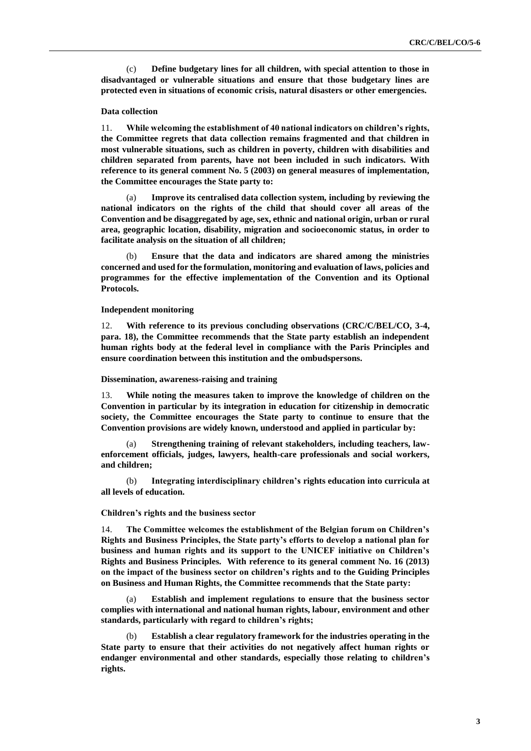(c) **Define budgetary lines for all children, with special attention to those in disadvantaged or vulnerable situations and ensure that those budgetary lines are protected even in situations of economic crisis, natural disasters or other emergencies.** 

## **Data collection**

11. **While welcoming the establishment of 40 national indicators on children's rights, the Committee regrets that data collection remains fragmented and that children in most vulnerable situations, such as children in poverty, children with disabilities and children separated from parents, have not been included in such indicators. With reference to its general comment No. 5 (2003) on general measures of implementation, the Committee encourages the State party to:** 

(a) **Improve its centralised data collection system, including by reviewing the national indicators on the rights of the child that should cover all areas of the Convention and be disaggregated by age, sex, ethnic and national origin, urban or rural area, geographic location, disability, migration and socioeconomic status, in order to facilitate analysis on the situation of all children;**

(b) **Ensure that the data and indicators are shared among the ministries concerned and used for the formulation, monitoring and evaluation of laws, policies and programmes for the effective implementation of the Convention and its Optional Protocols.** 

#### **Independent monitoring**

12. **With reference to its previous concluding observations (CRC/C/BEL/CO, 3-4, para. 18), the Committee recommends that the State party establish an independent human rights body at the federal level in compliance with the Paris Principles and ensure coordination between this institution and the ombudspersons.** 

#### **Dissemination, awareness-raising and training**

13. **While noting the measures taken to improve the knowledge of children on the Convention in particular by its integration in education for citizenship in democratic society, the Committee encourages the State party to continue to ensure that the Convention provisions are widely known, understood and applied in particular by:** 

(a) **Strengthening training of relevant stakeholders, including teachers, lawenforcement officials, judges, lawyers, health-care professionals and social workers, and children;**

(b) **Integrating interdisciplinary children's rights education into curricula at all levels of education.** 

### **Children's rights and the business sector**

14. **The Committee welcomes the establishment of the Belgian forum on Children's Rights and Business Principles, the State party's efforts to develop a national plan for business and human rights and its support to the UNICEF initiative on Children's Rights and Business Principles. With reference to its general comment No. 16 (2013) on the impact of the business sector on children's rights and to the Guiding Principles on Business and Human Rights, the Committee recommends that the State party:** 

(a) **Establish and implement regulations to ensure that the business sector complies with international and national human rights, labour, environment and other standards, particularly with regard to children's rights;** 

(b) **Establish a clear regulatory framework for the industries operating in the State party to ensure that their activities do not negatively affect human rights or endanger environmental and other standards, especially those relating to children's rights.**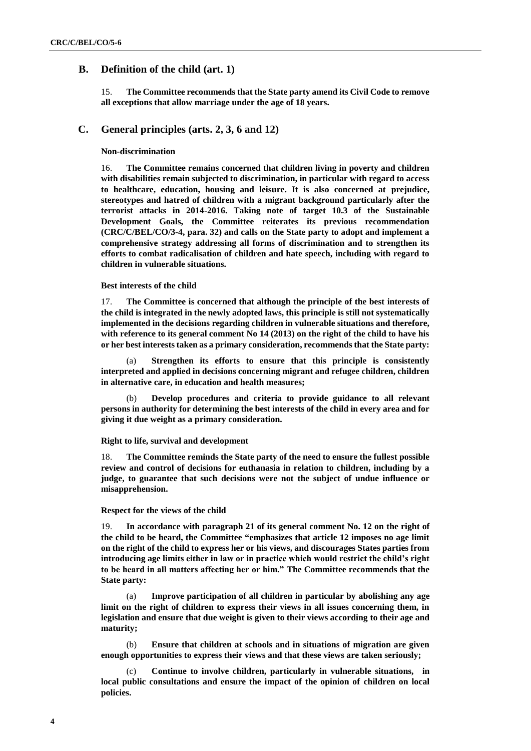# **B. Definition of the child (art. 1)**

15. **The Committee recommends that the State party amend its Civil Code to remove all exceptions that allow marriage under the age of 18 years.**

## **C. General principles (arts. 2, 3, 6 and 12)**

## **Non-discrimination**

16. **The Committee remains concerned that children living in poverty and children with disabilities remain subjected to discrimination, in particular with regard to access to healthcare, education, housing and leisure. It is also concerned at prejudice, stereotypes and hatred of children with a migrant background particularly after the terrorist attacks in 2014-2016. Taking note of target 10.3 of the Sustainable Development Goals, the Committee reiterates its previous recommendation (CRC/C/BEL/CO/3-4, para. 32) and calls on the State party to adopt and implement a comprehensive strategy addressing all forms of discrimination and to strengthen its efforts to combat radicalisation of children and hate speech, including with regard to children in vulnerable situations.**

#### **Best interests of the child**

17. **The Committee is concerned that although the principle of the best interests of the child is integrated in the newly adopted laws, this principle is still not systematically implemented in the decisions regarding children in vulnerable situations and therefore, with reference to its general comment No 14 (2013) on the right of the child to have his or her best interests taken as a primary consideration, recommends that the State party:** 

(a) **Strengthen its efforts to ensure that this principle is consistently interpreted and applied in decisions concerning migrant and refugee children, children in alternative care, in education and health measures;**

(b) **Develop procedures and criteria to provide guidance to all relevant persons in authority for determining the best interests of the child in every area and for giving it due weight as a primary consideration.**

#### **Right to life, survival and development**

18. **The Committee reminds the State party of the need to ensure the fullest possible review and control of decisions for euthanasia in relation to children, including by a judge, to guarantee that such decisions were not the subject of undue influence or misapprehension.** 

#### **Respect for the views of the child**

19. **In accordance with paragraph 21 of its general comment No. 12 on the right of the child to be heard, the Committee "emphasizes that article 12 imposes no age limit on the right of the child to express her or his views, and discourages States parties from introducing age limits either in law or in practice which would restrict the child's right to be heard in all matters affecting her or him." The Committee recommends that the State party:** 

(a) **Improve participation of all children in particular by abolishing any age limit on the right of children to express their views in all issues concerning them, in legislation and ensure that due weight is given to their views according to their age and maturity;** 

(b) **Ensure that children at schools and in situations of migration are given enough opportunities to express their views and that these views are taken seriously;** 

(c) **Continue to involve children, particularly in vulnerable situations, in local public consultations and ensure the impact of the opinion of children on local policies.**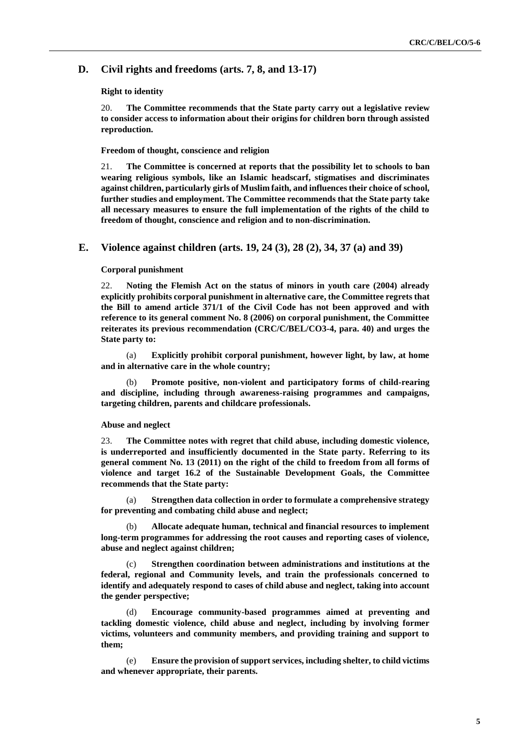# **D. Civil rights and freedoms (arts. 7, 8, and 13-17)**

### **Right to identity**

20. **The Committee recommends that the State party carry out a legislative review to consider access to information about their origins for children born through assisted reproduction.**

## **Freedom of thought, conscience and religion**

21. **The Committee is concerned at reports that the possibility let to schools to ban wearing religious symbols, like an Islamic headscarf, stigmatises and discriminates against children, particularly girls of Muslim faith, and influences their choice of school, further studies and employment. The Committee recommends that the State party take all necessary measures to ensure the full implementation of the rights of the child to freedom of thought, conscience and religion and to non-discrimination.**

## **E. Violence against children (arts. 19, 24 (3), 28 (2), 34, 37 (a) and 39)**

## **Corporal punishment**

22. **Noting the Flemish Act on the status of minors in youth care (2004) already explicitly prohibits corporal punishment in alternative care, the Committee regrets that the Bill to amend article 371/1 of the Civil Code has not been approved and with reference to its general comment No. 8 (2006) on corporal punishment, the Committee reiterates its previous recommendation (CRC/C/BEL/CO3-4, para. 40) and urges the State party to:**

(a) **Explicitly prohibit corporal punishment, however light, by law, at home and in alternative care in the whole country;**

(b) **Promote positive, non-violent and participatory forms of child-rearing and discipline, including through awareness-raising programmes and campaigns, targeting children, parents and childcare professionals.** 

#### **Abuse and neglect**

23. **The Committee notes with regret that child abuse, including domestic violence, is underreported and insufficiently documented in the State party. Referring to its general comment No. 13 (2011) on the right of the child to freedom from all forms of violence and target 16.2 of the Sustainable Development Goals, the Committee recommends that the State party:**

(a) **Strengthen data collection in order to formulate a comprehensive strategy for preventing and combating child abuse and neglect;** 

(b) **Allocate adequate human, technical and financial resources to implement long-term programmes for addressing the root causes and reporting cases of violence, abuse and neglect against children;** 

(c) **Strengthen coordination between administrations and institutions at the federal, regional and Community levels, and train the professionals concerned to identify and adequately respond to cases of child abuse and neglect, taking into account the gender perspective;**

(d) **Encourage community-based programmes aimed at preventing and tackling domestic violence, child abuse and neglect, including by involving former victims, volunteers and community members, and providing training and support to them;**

(e) **Ensure the provision of support services, including shelter, to child victims and whenever appropriate, their parents.**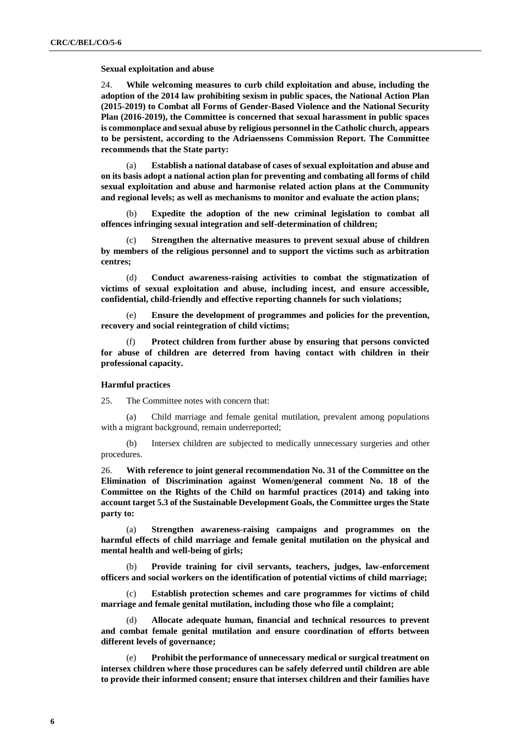#### **Sexual exploitation and abuse**

24. **While welcoming measures to curb child exploitation and abuse, including the adoption of the 2014 law prohibiting sexism in public spaces, the National Action Plan (2015-2019) to Combat all Forms of Gender-Based Violence and the National Security Plan (2016-2019), the Committee is concerned that sexual harassment in public spaces is commonplace and sexual abuse by religious personnel in the Catholic church, appears to be persistent, according to the Adriaenssens Commission Report. The Committee recommends that the State party:** 

(a) **Establish a national database of cases of sexual exploitation and abuse and on its basis adopt a national action plan for preventing and combating all forms of child sexual exploitation and abuse and harmonise related action plans at the Community and regional levels; as well as mechanisms to monitor and evaluate the action plans;** 

(b) **Expedite the adoption of the new criminal legislation to combat all offences infringing sexual integration and self-determination of children;** 

(c) **Strengthen the alternative measures to prevent sexual abuse of children by members of the religious personnel and to support the victims such as arbitration centres;** 

Conduct awareness-raising activities to combat the stigmatization of **victims of sexual exploitation and abuse, including incest, and ensure accessible, confidential, child-friendly and effective reporting channels for such violations;** 

(e) **Ensure the development of programmes and policies for the prevention, recovery and social reintegration of child victims;**

(f) **Protect children from further abuse by ensuring that persons convicted for abuse of children are deterred from having contact with children in their professional capacity.**

### **Harmful practices**

25. The Committee notes with concern that:

(a) Child marriage and female genital mutilation, prevalent among populations with a migrant background, remain underreported;

(b) Intersex children are subjected to medically unnecessary surgeries and other procedures.

26. **With reference to joint general recommendation No. 31 of the Committee on the Elimination of Discrimination against Women/general comment No. 18 of the Committee on the Rights of the Child on harmful practices (2014) and taking into account target 5.3 of the Sustainable Development Goals, the Committee urges the State party to:** 

(a) **Strengthen awareness-raising campaigns and programmes on the harmful effects of child marriage and female genital mutilation on the physical and mental health and well-being of girls;** 

(b) **Provide training for civil servants, teachers, judges, law-enforcement officers and social workers on the identification of potential victims of child marriage;**

(c) **Establish protection schemes and care programmes for victims of child marriage and female genital mutilation, including those who file a complaint;**

(d) **Allocate adequate human, financial and technical resources to prevent and combat female genital mutilation and ensure coordination of efforts between different levels of governance;**

Prohibit the performance of unnecessary medical or surgical treatment on **intersex children where those procedures can be safely deferred until children are able to provide their informed consent; ensure that intersex children and their families have**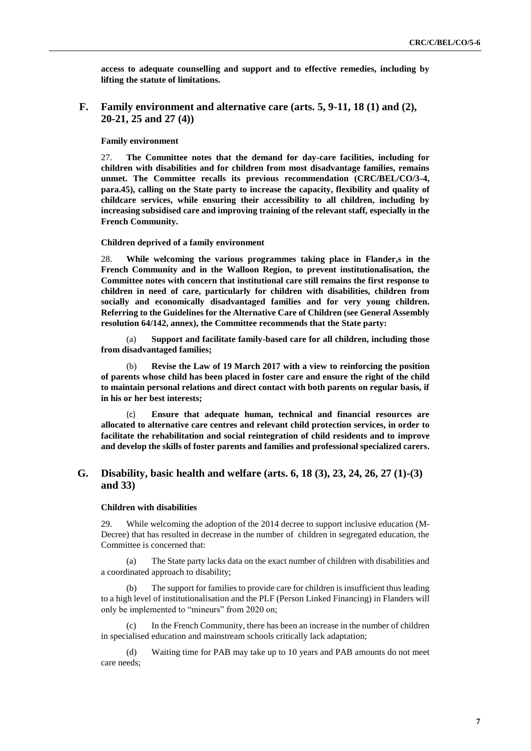**access to adequate counselling and support and to effective remedies, including by lifting the statute of limitations.** 

# **F. Family environment and alternative care (arts. 5, 9-11, 18 (1) and (2), 20-21, 25 and 27 (4))**

## **Family environment**

27. **The Committee notes that the demand for day-care facilities, including for children with disabilities and for children from most disadvantage families, remains unmet. The Committee recalls its previous recommendation (CRC/BEL/CO/3-4, para.45), calling on the State party to increase the capacity, flexibility and quality of childcare services, while ensuring their accessibility to all children, including by increasing subsidised care and improving training of the relevant staff, especially in the French Community.** 

#### **Children deprived of a family environment**

28. **While welcoming the various programmes taking place in Flander,s in the French Community and in the Walloon Region, to prevent institutionalisation, the Committee notes with concern that institutional care still remains the first response to children in need of care, particularly for children with disabilities, children from socially and economically disadvantaged families and for very young children. Referring to the Guidelines for the Alternative Care of Children (see General Assembly resolution 64/142, annex), the Committee recommends that the State party:**

(a) **Support and facilitate family-based care for all children, including those from disadvantaged families;** 

(b) **Revise the Law of 19 March 2017 with a view to reinforcing the position of parents whose child has been placed in foster care and ensure the right of the child to maintain personal relations and direct contact with both parents on regular basis, if in his or her best interests;** 

(c) **Ensure that adequate human, technical and financial resources are allocated to alternative care centres and relevant child protection services, in order to facilitate the rehabilitation and social reintegration of child residents and to improve and develop the skills of foster parents and families and professional specialized carers.** 

# **G. Disability, basic health and welfare (arts. 6, 18 (3), 23, 24, 26, 27 (1)-(3) and 33)**

#### **Children with disabilities**

29. While welcoming the adoption of the 2014 decree to support inclusive education (M-Decree) that has resulted in decrease in the number of children in segregated education, the Committee is concerned that:

(a) The State party lacks data on the exact number of children with disabilities and a coordinated approach to disability;

(b) The support for families to provide care for children is insufficient thus leading to a high level of institutionalisation and the PLF (Person Linked Financing) in Flanders will only be implemented to "mineurs" from 2020 on;

(c) In the French Community, there has been an increase in the number of children in specialised education and mainstream schools critically lack adaptation;

(d) Waiting time for PAB may take up to 10 years and PAB amounts do not meet care needs;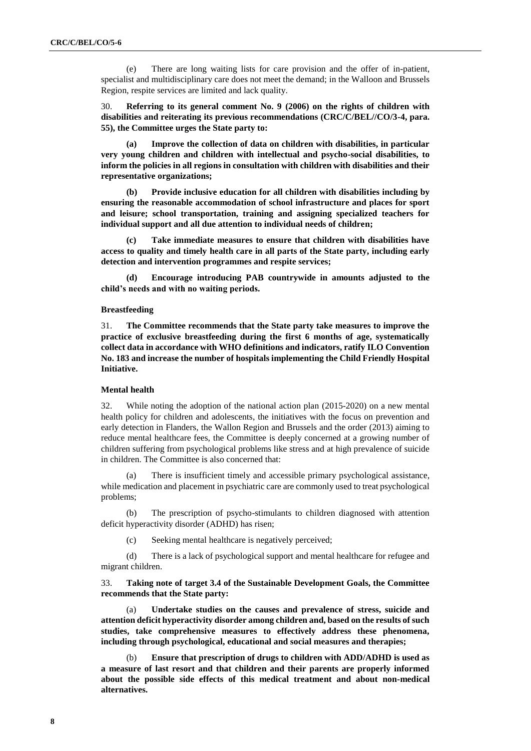(e) There are long waiting lists for care provision and the offer of in-patient, specialist and multidisciplinary care does not meet the demand; in the Walloon and Brussels Region, respite services are limited and lack quality.

30. **Referring to its general comment No. 9 (2006) on the rights of children with disabilities and reiterating its previous recommendations (CRC/C/BEL//CO/3-4, para. 55), the Committee urges the State party to:**

**(a) Improve the collection of data on children with disabilities, in particular very young children and children with intellectual and psycho-social disabilities, to inform the policies in all regions in consultation with children with disabilities and their representative organizations;**

**(b) Provide inclusive education for all children with disabilities including by ensuring the reasonable accommodation of school infrastructure and places for sport and leisure; school transportation, training and assigning specialized teachers for individual support and all due attention to individual needs of children;** 

**(c) Take immediate measures to ensure that children with disabilities have access to quality and timely health care in all parts of the State party, including early detection and intervention programmes and respite services;**

**(d) Encourage introducing PAB countrywide in amounts adjusted to the child's needs and with no waiting periods.** 

#### **Breastfeeding**

31. **The Committee recommends that the State party take measures to improve the practice of exclusive breastfeeding during the first 6 months of age, systematically collect data in accordance with WHO definitions and indicators, ratify ILO Convention No. 183 and increase the number of hospitals implementing the Child Friendly Hospital Initiative.**

## **Mental health**

32. While noting the adoption of the national action plan (2015-2020) on a new mental health policy for children and adolescents, the initiatives with the focus on prevention and early detection in Flanders, the Wallon Region and Brussels and the order (2013) aiming to reduce mental healthcare fees, the Committee is deeply concerned at a growing number of children suffering from psychological problems like stress and at high prevalence of suicide in children. The Committee is also concerned that:

(a) There is insufficient timely and accessible primary psychological assistance, while medication and placement in psychiatric care are commonly used to treat psychological problems;

(b) The prescription of psycho-stimulants to children diagnosed with attention deficit hyperactivity disorder (ADHD) has risen;

(c) Seeking mental healthcare is negatively perceived;

(d) There is a lack of psychological support and mental healthcare for refugee and migrant children.

33. **Taking note of target 3.4 of the Sustainable Development Goals, the Committee recommends that the State party:**

(a) **Undertake studies on the causes and prevalence of stress, suicide and attention deficit hyperactivity disorder among children and, based on the results of such studies, take comprehensive measures to effectively address these phenomena, including through psychological, educational and social measures and therapies;**

(b) **Ensure that prescription of drugs to children with ADD/ADHD is used as a measure of last resort and that children and their parents are properly informed about the possible side effects of this medical treatment and about non-medical alternatives.**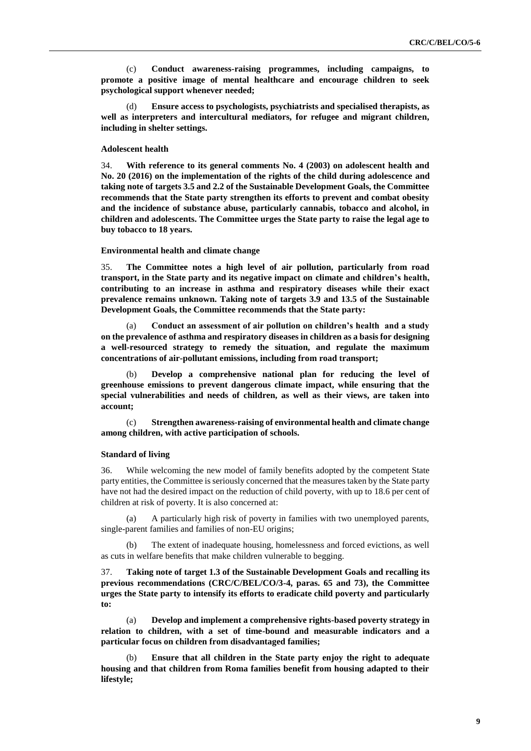(c) **Conduct awareness-raising programmes, including campaigns, to promote a positive image of mental healthcare and encourage children to seek psychological support whenever needed;**

(d) **Ensure access to psychologists, psychiatrists and specialised therapists, as well as interpreters and intercultural mediators, for refugee and migrant children, including in shelter settings.**

#### **Adolescent health**

34. **With reference to its general comments No. 4 (2003) on adolescent health and No. 20 (2016) on the implementation of the rights of the child during adolescence and taking note of targets 3.5 and 2.2 of the Sustainable Development Goals, the Committee recommends that the State party strengthen its efforts to prevent and combat obesity and the incidence of substance abuse, particularly cannabis, tobacco and alcohol, in children and adolescents. The Committee urges the State party to raise the legal age to buy tobacco to 18 years.** 

#### **Environmental health and climate change**

35. **The Committee notes a high level of air pollution, particularly from road transport, in the State party and its negative impact on climate and children's health, contributing to an increase in asthma and respiratory diseases while their exact prevalence remains unknown. Taking note of targets 3.9 and 13.5 of the Sustainable Development Goals, the Committee recommends that the State party:** 

(a) **Conduct an assessment of air pollution on children's health and a study on the prevalence of asthma and respiratory diseases in children as a basis for designing a well-resourced strategy to remedy the situation, and regulate the maximum concentrations of air-pollutant emissions, including from road transport;** 

(b) **Develop a comprehensive national plan for reducing the level of greenhouse emissions to prevent dangerous climate impact, while ensuring that the special vulnerabilities and needs of children, as well as their views, are taken into account;** 

(c) **Strengthen awareness-raising of environmental health and climate change among children, with active participation of schools.**

#### **Standard of living**

36. While welcoming the new model of family benefits adopted by the competent State party entities, the Committee is seriously concerned that the measures taken by the State party have not had the desired impact on the reduction of child poverty, with up to 18.6 per cent of children at risk of poverty. It is also concerned at:

(a) A particularly high risk of poverty in families with two unemployed parents, single-parent families and families of non-EU origins;

(b) The extent of inadequate housing, homelessness and forced evictions, as well as cuts in welfare benefits that make children vulnerable to begging.

37. **Taking note of target 1.3 of the Sustainable Development Goals and recalling its previous recommendations (CRC/C/BEL/CO/3-4, paras. 65 and 73), the Committee urges the State party to intensify its efforts to eradicate child poverty and particularly to:**

(a) **Develop and implement a comprehensive rights-based poverty strategy in relation to children, with a set of time-bound and measurable indicators and a particular focus on children from disadvantaged families;** 

(b) **Ensure that all children in the State party enjoy the right to adequate housing and that children from Roma families benefit from housing adapted to their lifestyle;**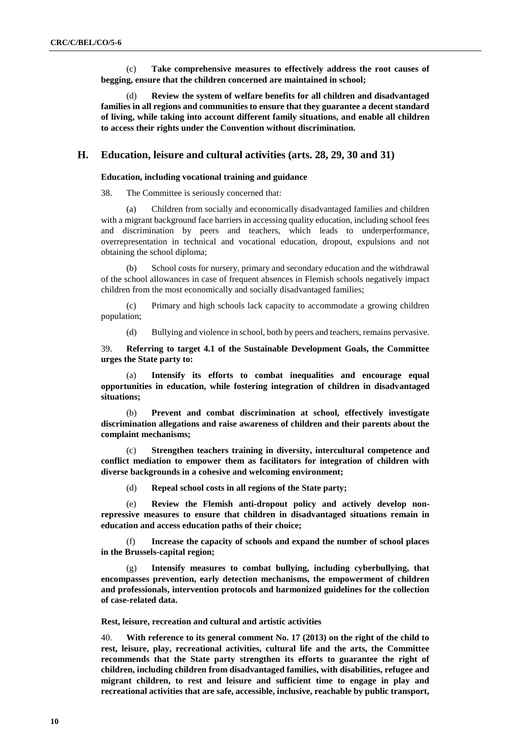(c) **Take comprehensive measures to effectively address the root causes of begging, ensure that the children concerned are maintained in school;** 

(d) **Review the system of welfare benefits for all children and disadvantaged families in all regions and communities to ensure that they guarantee a decent standard of living, while taking into account different family situations, and enable all children to access their rights under the Convention without discrimination.**

# **H. Education, leisure and cultural activities (arts. 28, 29, 30 and 31)**

### **Education, including vocational training and guidance**

38. The Committee is seriously concerned that:

(a) Children from socially and economically disadvantaged families and children with a migrant background face barriers in accessing quality education, including school fees and discrimination by peers and teachers, which leads to underperformance, overrepresentation in technical and vocational education, dropout, expulsions and not obtaining the school diploma;

(b) School costs for nursery, primary and secondary education and the withdrawal of the school allowances in case of frequent absences in Flemish schools negatively impact children from the most economically and socially disadvantaged families;

(c) Primary and high schools lack capacity to accommodate a growing children population;

(d) Bullying and violence in school, both by peers and teachers, remains pervasive.

39. **Referring to target 4.1 of the Sustainable Development Goals, the Committee urges the State party to:** 

(a) **Intensify its efforts to combat inequalities and encourage equal opportunities in education, while fostering integration of children in disadvantaged situations;** 

(b) **Prevent and combat discrimination at school, effectively investigate discrimination allegations and raise awareness of children and their parents about the complaint mechanisms;** 

(c) **Strengthen teachers training in diversity, intercultural competence and conflict mediation to empower them as facilitators for integration of children with diverse backgrounds in a cohesive and welcoming environment;**

(d) **Repeal school costs in all regions of the State party;**

(e) **Review the Flemish anti-dropout policy and actively develop nonrepressive measures to ensure that children in disadvantaged situations remain in education and access education paths of their choice;** 

(f) **Increase the capacity of schools and expand the number of school places in the Brussels-capital region;**

(g) **Intensify measures to combat bullying, including cyberbullying, that encompasses prevention, early detection mechanisms, the empowerment of children and professionals, intervention protocols and harmonized guidelines for the collection of case-related data.** 

**Rest, leisure, recreation and cultural and artistic activities**

40. **With reference to its general comment No. 17 (2013) on the right of the child to rest, leisure, play, recreational activities, cultural life and the arts, the Committee recommends that the State party strengthen its efforts to guarantee the right of children, including children from disadvantaged families, with disabilities, refugee and migrant children, to rest and leisure and sufficient time to engage in play and recreational activities that are safe, accessible, inclusive, reachable by public transport,**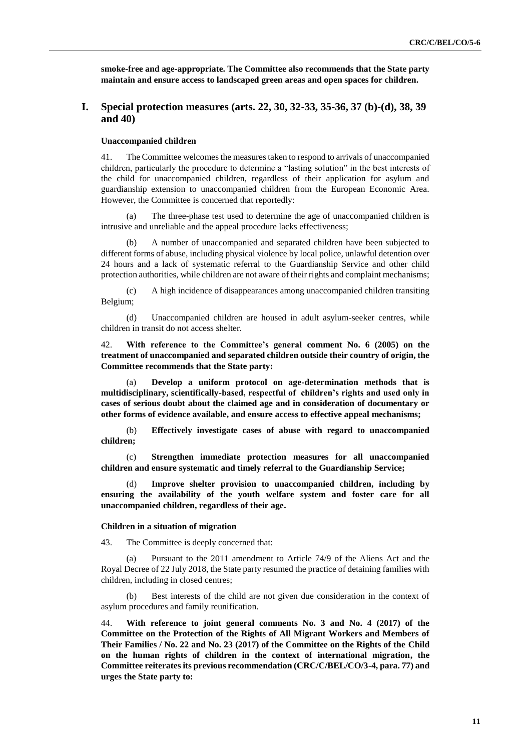**smoke-free and age-appropriate. The Committee also recommends that the State party maintain and ensure access to landscaped green areas and open spaces for children.**

# **I. Special protection measures (arts. 22, 30, 32-33, 35-36, 37 (b)-(d), 38, 39 and 40)**

## **Unaccompanied children**

41. The Committee welcomes the measures taken to respond to arrivals of unaccompanied children, particularly the procedure to determine a "lasting solution" in the best interests of the child for unaccompanied children, regardless of their application for asylum and guardianship extension to unaccompanied children from the European Economic Area. However, the Committee is concerned that reportedly:

(a) The three-phase test used to determine the age of unaccompanied children is intrusive and unreliable and the appeal procedure lacks effectiveness;

(b) A number of unaccompanied and separated children have been subjected to different forms of abuse, including physical violence by local police, unlawful detention over 24 hours and a lack of systematic referral to the Guardianship Service and other child protection authorities, while children are not aware of their rights and complaint mechanisms;

(c) A high incidence of disappearances among unaccompanied children transiting Belgium;

(d) Unaccompanied children are housed in adult asylum-seeker centres, while children in transit do not access shelter.

42. **With reference to the Committee's general comment No. 6 (2005) on the treatment of unaccompanied and separated children outside their country of origin, the Committee recommends that the State party:**

(a) **Develop a uniform protocol on age-determination methods that is multidisciplinary, scientifically-based, respectful of children's rights and used only in cases of serious doubt about the claimed age and in consideration of documentary or other forms of evidence available, and ensure access to effective appeal mechanisms;**

(b) **Effectively investigate cases of abuse with regard to unaccompanied children;**

(c) **Strengthen immediate protection measures for all unaccompanied children and ensure systematic and timely referral to the Guardianship Service;** 

(d) **Improve shelter provision to unaccompanied children, including by ensuring the availability of the youth welfare system and foster care for all unaccompanied children, regardless of their age.**

#### **Children in a situation of migration**

43. The Committee is deeply concerned that:

(a) Pursuant to the 2011 amendment to Article 74/9 of the Aliens Act and the Royal Decree of 22 July 2018, the State party resumed the practice of detaining families with children, including in closed centres;

(b) Best interests of the child are not given due consideration in the context of asylum procedures and family reunification.

44. **With reference to joint general comments No. 3 and No. 4 (2017) of the Committee on the Protection of the Rights of All Migrant Workers and Members of Their Families / No. 22 and No. 23 (2017) of the Committee on the Rights of the Child on the human rights of children in the context of international migration, the Committee reiterates its previous recommendation (CRC/C/BEL/CO/3-4, para. 77) and urges the State party to:**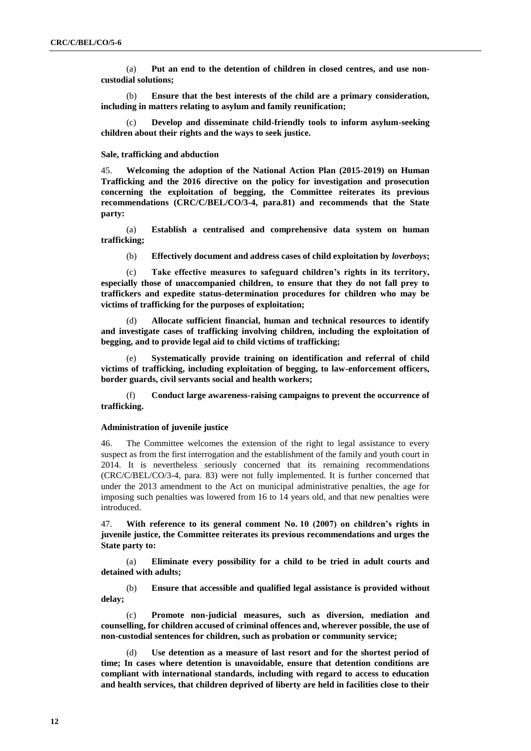(a) **Put an end to the detention of children in closed centres, and use noncustodial solutions;** 

(b) **Ensure that the best interests of the child are a primary consideration, including in matters relating to asylum and family reunification;** 

(c) **Develop and disseminate child-friendly tools to inform asylum-seeking children about their rights and the ways to seek justice.**

#### **Sale, trafficking and abduction**

45. **Welcoming the adoption of the National Action Plan (2015-2019) on Human Trafficking and the 2016 directive on the policy for investigation and prosecution concerning the exploitation of begging, the Committee reiterates its previous recommendations (CRC/C/BEL/CO/3-4, para.81) and recommends that the State party:** 

(a) **Establish a centralised and comprehensive data system on human trafficking;**

(b) **Effectively document and address cases of child exploitation by** *loverboys***;**

(c) **Take effective measures to safeguard children's rights in its territory, especially those of unaccompanied children, to ensure that they do not fall prey to traffickers and expedite status-determination procedures for children who may be victims of trafficking for the purposes of exploitation;**

(d) **Allocate sufficient financial, human and technical resources to identify and investigate cases of trafficking involving children, including the exploitation of begging, and to provide legal aid to child victims of trafficking;**

**Systematically provide training on identification and referral of child victims of trafficking, including exploitation of begging, to law-enforcement officers, border guards, civil servants social and health workers;** 

(f) **Conduct large awareness-raising campaigns to prevent the occurrence of trafficking.** 

#### **Administration of juvenile justice**

46. The Committee welcomes the extension of the right to legal assistance to every suspect as from the first interrogation and the establishment of the family and youth court in 2014. It is nevertheless seriously concerned that its remaining recommendations (CRC/C/BEL/CO/3-4, para. 83) were not fully implemented. It is further concerned that under the 2013 amendment to the Act on municipal administrative penalties, the age for imposing such penalties was lowered from 16 to 14 years old, and that new penalties were introduced.

47. **With reference to its general comment No. 10 (2007) on children's rights in juvenile justice, the Committee reiterates its previous recommendations and urges the State party to:**

(a) **Eliminate every possibility for a child to be tried in adult courts and detained with adults;**

(b) **Ensure that accessible and qualified legal assistance is provided without delay;** 

(c) **Promote non-judicial measures, such as diversion, mediation and counselling, for children accused of criminal offences and, wherever possible, the use of non-custodial sentences for children, such as probation or community service;** 

(d) **Use detention as a measure of last resort and for the shortest period of time; In cases where detention is unavoidable, ensure that detention conditions are compliant with international standards, including with regard to access to education and health services, that children deprived of liberty are held in facilities close to their**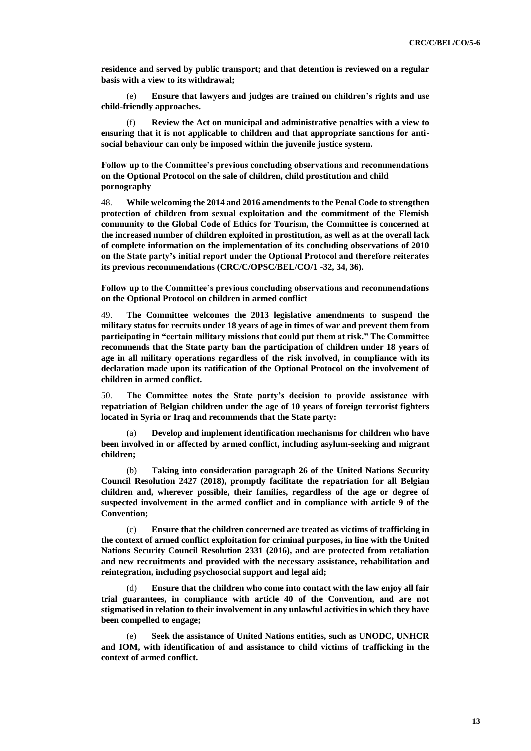**residence and served by public transport; and that detention is reviewed on a regular basis with a view to its withdrawal;** 

(e) **Ensure that lawyers and judges are trained on children's rights and use child-friendly approaches.**

(f) **Review the Act on municipal and administrative penalties with a view to ensuring that it is not applicable to children and that appropriate sanctions for antisocial behaviour can only be imposed within the juvenile justice system.**

**Follow up to the Committee's previous concluding observations and recommendations on the Optional Protocol on the sale of children, child prostitution and child pornography**

48. **While welcoming the 2014 and 2016 amendments to the Penal Code to strengthen protection of children from sexual exploitation and the commitment of the Flemish community to the Global Code of Ethics for Tourism, the Committee is concerned at the increased number of children exploited in prostitution, as well as at the overall lack of complete information on the implementation of its concluding observations of 2010 on the State party's initial report under the Optional Protocol and therefore reiterates its previous recommendations (CRC/C/OPSC/BEL/CO/1 -32, 34, 36).**

**Follow up to the Committee's previous concluding observations and recommendations on the Optional Protocol on children in armed conflict**

49. **The Committee welcomes the 2013 legislative amendments to suspend the military status for recruits under 18 years of age in times of war and prevent them from participating in "certain military missions that could put them at risk." The Committee recommends that the State party ban the participation of children under 18 years of age in all military operations regardless of the risk involved, in compliance with its declaration made upon its ratification of the Optional Protocol on the involvement of children in armed conflict.**

50. **The Committee notes the State party's decision to provide assistance with repatriation of Belgian children under the age of 10 years of foreign terrorist fighters located in Syria or Iraq and recommends that the State party:**

(a) **Develop and implement identification mechanisms for children who have been involved in or affected by armed conflict, including asylum-seeking and migrant children;** 

(b) **Taking into consideration paragraph 26 of the United Nations Security Council Resolution 2427 (2018), promptly facilitate the repatriation for all Belgian children and, wherever possible, their families, regardless of the age or degree of suspected involvement in the armed conflict and in compliance with article 9 of the Convention;** 

(c) **Ensure that the children concerned are treated as victims of trafficking in the context of armed conflict exploitation for criminal purposes, in line with the United Nations Security Council Resolution 2331 (2016), and are protected from retaliation and new recruitments and provided with the necessary assistance, rehabilitation and reintegration, including psychosocial support and legal aid;**

(d) **Ensure that the children who come into contact with the law enjoy all fair trial guarantees, in compliance with article 40 of the Convention, and are not stigmatised in relation to their involvement in any unlawful activities in which they have been compelled to engage;**

(e) **Seek the assistance of United Nations entities, such as UNODC, UNHCR and IOM, with identification of and assistance to child victims of trafficking in the context of armed conflict.**